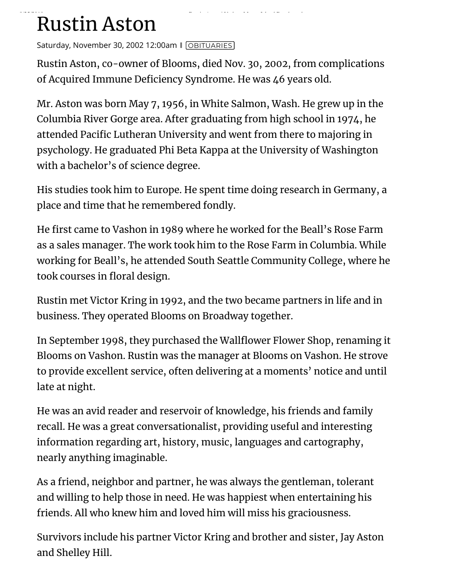## **Prints Rustin Aston** Beach

Saturday, November 30, 2002 12:00am | [OBITUARIES](http://www.vashonbeachcomber.com/obituaries/)]

Rustin Aston, co-owner of Blooms, died Nov. 30, 2002, from complications of Acquired Immune Deficiency Syndrome. He was 46 years old.

Mr. Aston was born May 7, 1956, in White Salmon, Wash. He grew up in the Columbia River Gorge area. After graduating from high school in 1974, he attended Pacific Lutheran University and went from there to majoring in psychology. He graduated Phi Beta Kappa at the University of Washington with a bachelor's of science degree.

His studies took him to Europe. He spent time doing research in Germany, a place and time that he remembered fondly.

He first came to Vashon in 1989 where he worked for the Beall's Rose Farm as a sales manager. The work took him to the Rose Farm in Columbia. While working for Beall's, he attended South Seattle Community College, where he took courses in floral design.

Rustin met Victor Kring in 1992, and the two became partners in life and in business. They operated Blooms on Broadway together.

In September 1998, they purchased the Wallflower Flower Shop, renaming it Blooms on Vashon. Rustin was the manager at Blooms on Vashon. He strove to provide excellent service, often delivering at a moments' notice and until late at night.

He was an avid reader and reservoir of knowledge, his friends and family recall. He was a great conversationalist, providing useful and interesting information regarding art, history, music, languages and cartography, nearly anything imaginable.

As a friend, neighbor and partner, he was always the gentleman, tolerant and willing to help those in need. He was happiest when entertaining his friends. All who knew him and loved him will miss his graciousness.

Survivors include his partner Victor Kring and brother and sister, Jay Aston and Shelley Hill.